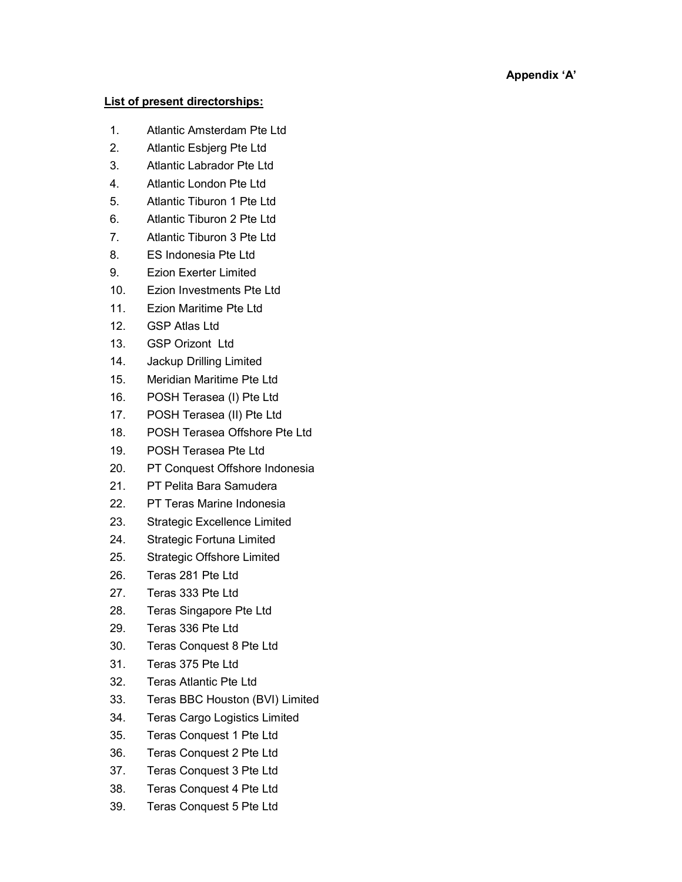## Appendix 'A'

## List of present directorships:

- 1. Atlantic Amsterdam Pte Ltd
- 2. Atlantic Esbjerg Pte Ltd
- 3. Atlantic Labrador Pte Ltd
- 4. Atlantic London Pte Ltd
- 5. Atlantic Tiburon 1 Pte Ltd
- 6. Atlantic Tiburon 2 Pte Ltd
- 7. Atlantic Tiburon 3 Pte Ltd
- 8. ES Indonesia Pte Ltd
- 9. Ezion Exerter Limited
- 10. Ezion Investments Pte Ltd
- 11. Ezion Maritime Pte Ltd
- 12. GSP Atlas Ltd
- 13. GSP Orizont Ltd
- 14. Jackup Drilling Limited
- 15. Meridian Maritime Pte Ltd
- 16. POSH Terasea (I) Pte Ltd
- 17. POSH Terasea (II) Pte Ltd
- 18. POSH Terasea Offshore Pte Ltd
- 19. POSH Terasea Pte Ltd
- 20. PT Conquest Offshore Indonesia
- 21. PT Pelita Bara Samudera
- 22. PT Teras Marine Indonesia
- 23. Strategic Excellence Limited
- 24. Strategic Fortuna Limited
- 25. Strategic Offshore Limited
- 26. Teras 281 Pte Ltd
- 27. Teras 333 Pte Ltd
- 28. Teras Singapore Pte Ltd
- 29. Teras 336 Pte Ltd
- 30. Teras Conquest 8 Pte Ltd
- 31. Teras 375 Pte Ltd
- 32. Teras Atlantic Pte Ltd
- 33. Teras BBC Houston (BVI) Limited
- 34. Teras Cargo Logistics Limited
- 35. Teras Conquest 1 Pte Ltd
- 36. Teras Conquest 2 Pte Ltd
- 37. Teras Conquest 3 Pte Ltd
- 38. Teras Conquest 4 Pte Ltd
- 39. Teras Conquest 5 Pte Ltd